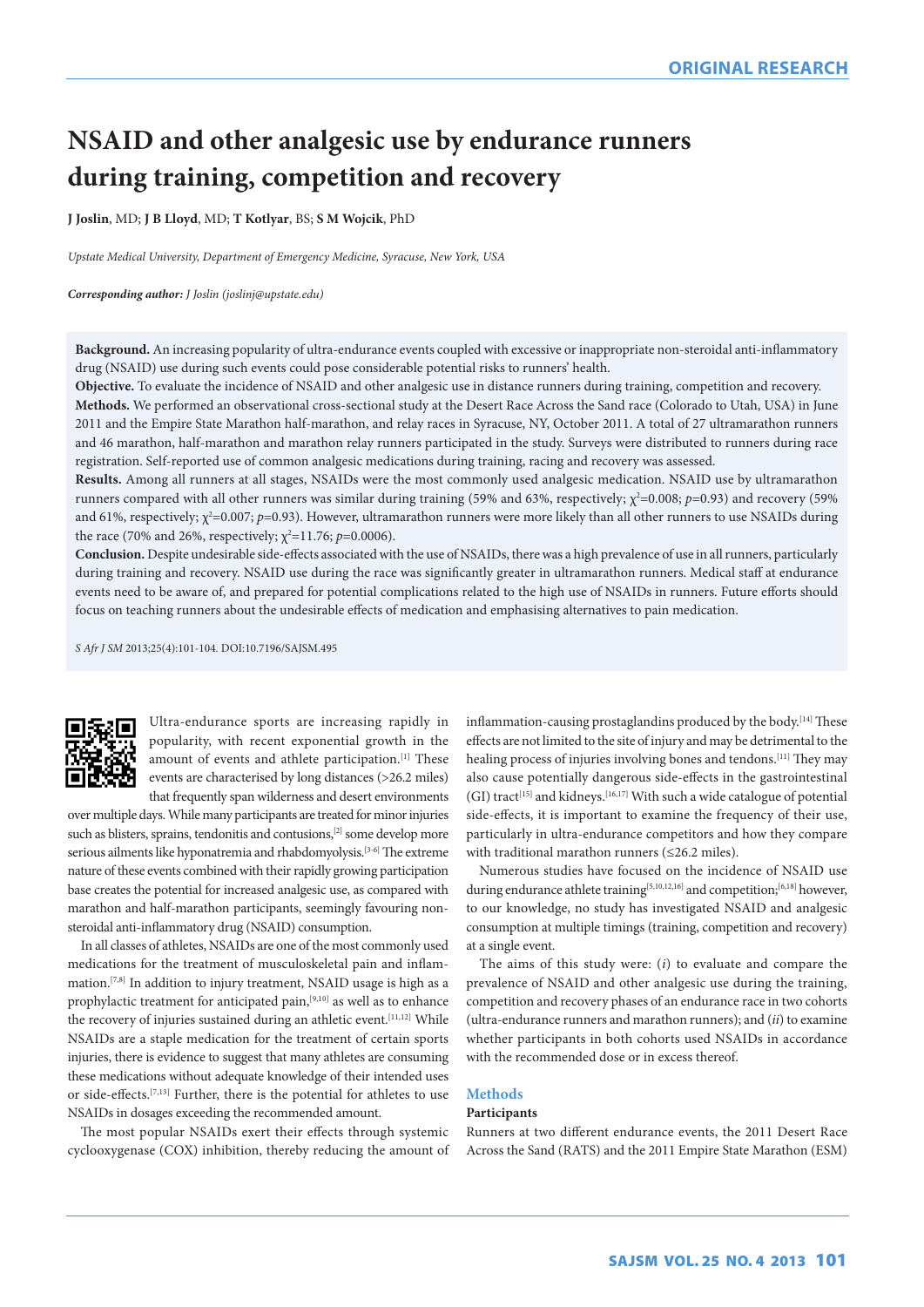# **NSAID and other analgesic use by endurance runners during training, competition and recovery**

**J Joslin**, MD; **J B Lloyd**, MD; **T Kotlyar**, BS; **S M Wojcik**, PhD

*Upstate Medical University, Department of Emergency Medicine, Syracuse, New York, USA*

## *Corresponding author: J Joslin (joslinj@upstate.edu)*

**Background.** An increasing popularity of ultra-endurance events coupled with excessive or inappropriate non-steroidal anti-inflammatory drug (NSAID) use during such events could pose considerable potential risks to runners' health.

**Objective.** To evaluate the incidence of NSAID and other analgesic use in distance runners during training, competition and recovery.

**Methods.** We performed an observational cross-sectional study at the Desert Race Across the Sand race (Colorado to Utah, USA) in June 2011 and the Empire State Marathon half-marathon, and relay races in Syracuse, NY, October 2011. A total of 27 ultramarathon runners and 46 marathon, half-marathon and marathon relay runners participated in the study. Surveys were distributed to runners during race registration. Self-reported use of common analgesic medications during training, racing and recovery was assessed.

**Results.** Among all runners at all stages, NSAIDs were the most commonly used analgesic medication. NSAID use by ultramarathon runners compared with all other runners was similar during training (59% and 63%, respectively; χ<sup>2</sup>=0.008; *p*=0.93) and recovery (59% and 61%, respectively;  $\chi^2$ =0.007; *p*=0.93). However, ultramarathon runners were more likely than all other runners to use NSAIDs during the race (70% and 26%, respectively;  $\chi^2$ =11.76;  $p$ =0.0006).

**Conclusion.** Despite undesirable side-effects associated with the use of NSAIDs, there was a high prevalence of use in all runners, particularly during training and recovery. NSAID use during the race was significantly greater in ultramarathon runners. Medical staff at endurance events need to be aware of, and prepared for potential complications related to the high use of NSAIDs in runners. Future efforts should focus on teaching runners about the undesirable effects of medication and emphasising alternatives to pain medication.

*S Afr J SM* 2013;25(4):101-104. DOI:10.7196/SAJSM.495



Ultra-endurance sports are increasing rapidly in popularity, with recent exponential growth in the amount of events and athlete participation.<sup>[1]</sup> These events are characterised by long distances (>26.2 miles) that frequently span wilderness and desert environments

over multiple days. While many participants are treated for minor injuries such as blisters, sprains, tendonitis and contusions,<sup>[2]</sup> some develop more serious ailments like hyponatremia and rhabdomyolysis.<sup>[3-6]</sup> The extreme nature of these events combined with their rapidly growing participation base creates the potential for increased analgesic use, as compared with marathon and half-marathon participants, seemingly favouring nonsteroidal anti-inflammatory drug (NSAID) consumption.

In all classes of athletes, NSAIDs are one of the most commonly used medications for the treatment of musculoskeletal pain and inflammation.[7,8] In addition to injury treatment, NSAID usage is high as a prophylactic treatment for anticipated pain,[9,10] as well as to enhance the recovery of injuries sustained during an athletic event.<sup>[11,12]</sup> While NSAIDs are a staple medication for the treatment of certain sports injuries, there is evidence to suggest that many athletes are consuming these medications without adequate knowledge of their intended uses or side-effects.[7,13] Further, there is the potential for athletes to use NSAIDs in dosages exceeding the recommended amount.

The most popular NSAIDs exert their effects through systemic cyclooxygenase (COX) inhibition, thereby reducing the amount of inflammation-causing prostaglandins produced by the body.<sup>[14]</sup> These effects are not limited to the site of injury and may be detrimental to the healing process of injuries involving bones and tendons.<sup>[11]</sup> They may also cause potentially dangerous side-effects in the gastrointestinal (GI) tract<sup>[15]</sup> and kidneys.<sup>[16,17]</sup> With such a wide catalogue of potential side-effects, it is important to examine the frequency of their use, particularly in ultra-endurance competitors and how they compare with traditional marathon runners (≤26.2 miles).

Numerous studies have focused on the incidence of NSAID use during endurance athlete training<sup>[5,10,12,16]</sup> and competition;<sup>[6,18]</sup> however, to our knowledge, no study has investigated NSAID and analgesic consumption at multiple timings (training, competition and recovery) at a single event.

The aims of this study were: (*i*) to evaluate and compare the prevalence of NSAID and other analgesic use during the training, competition and recovery phases of an endurance race in two cohorts (ultra-endurance runners and marathon runners); and (*ii*) to examine whether participants in both cohorts used NSAIDs in accordance with the recommended dose or in excess thereof.

# **Methods**

# **Participants**

Runners at two different endurance events, the 2011 Desert Race Across the Sand (RATS) and the 2011 Empire State Marathon (ESM)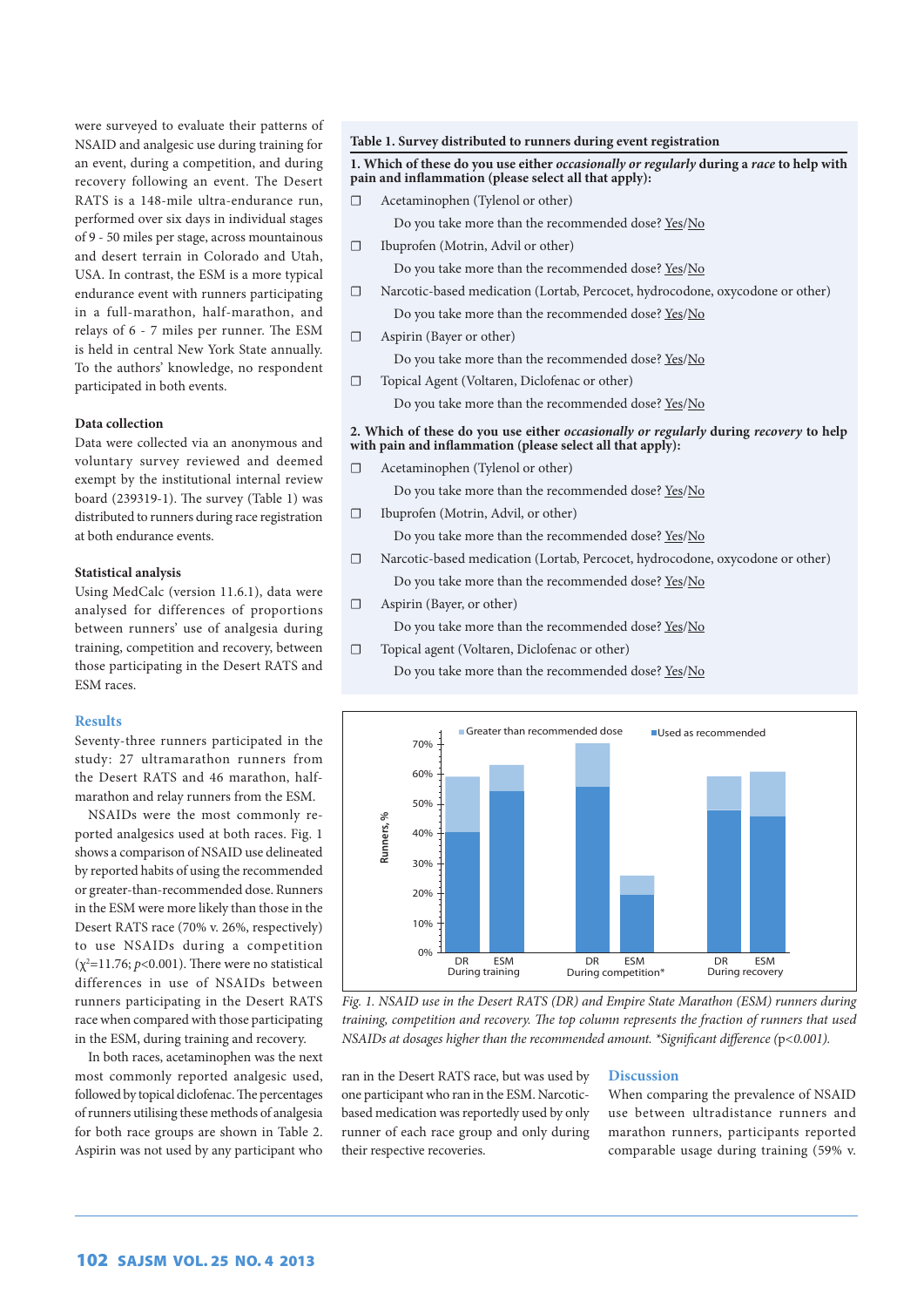were surveyed to evaluate their patterns of NSAID and analgesic use during training for an event, during a competition, and during recovery following an event. The Desert RATS is a 148-mile ultra-endurance run, performed over six days in individual stages of 9 - 50 miles per stage, across mountainous and desert terrain in Colorado and Utah, USA. In contrast, the ESM is a more typical endurance event with runners participating in a full-marathon, half-marathon, and relays of 6 - 7 miles per runner. The ESM is held in central New York State annually. To the authors' knowledge, no respondent participated in both events.

# **Data collection**

Data were collected via an anonymous and voluntary survey reviewed and deemed exempt by the institutional internal review board (239319-1). The survey (Table 1) was distributed to runners during race registration at both endurance events.

# **Statistical analysis**

Using MedCalc (version 11.6.1), data were analysed for differences of proportions between runners' use of analgesia during training, competition and recovery, between those participating in the Desert RATS and ESM races.

## **Results**

Seventy-three runners participated in the study: 27 ultramarathon runners from the Desert RATS and 46 marathon, halfmarathon and relay runners from the ESM.

NSAIDs were the most commonly reported analgesics used at both races. Fig. 1 shows a comparison of NSAID use delineated by reported habits of using the recommended or greater-than-recommended dose. Runners in the ESM were more likely than those in the Desert RATS race (70% v. 26%, respectively) to use NSAIDs during a competition  $(\chi^2=11.76; p<0.001)$ . There were no statistical differences in use of NSAIDs between runners participating in the Desert RATS race when compared with those participating in the ESM, during training and recovery.

In both races, acetaminophen was the next most commonly reported analgesic used, followed by topical diclofenac. The percentages of runners utilising these methods of analgesia for both race groups are shown in Table 2. Aspirin was not used by any participant who

#### **Table 1. Survey distributed to runners during event registration**

# **1. Which of these do you use either** *occasionally or regularly* **during a** *race* **to help with pain and inflammation (please select all that apply):**

☐ Acetaminophen (Tylenol or other)

Do you take more than the recommended dose? Yes/No

- ☐ Ibuprofen (Motrin, Advil or other)
- Do you take more than the recommended dose? Yes/No ☐ Narcotic-based medication (Lortab, Percocet, hydrocodone, oxycodone or other)
- Do you take more than the recommended dose? Yes/No
- ☐ Aspirin (Bayer or other)

Do you take more than the recommended dose? Yes/No

☐ Topical Agent (Voltaren, Diclofenac or other)

Do you take more than the recommended dose? Yes/No

# **2. Which of these do you use either** *occasionally or regularly* **during** *recovery* **to help with pain and inflammation (please select all that apply):**

☐ Acetaminophen (Tylenol or other)

Do you take more than the recommended dose? Yes/No

- ☐ Ibuprofen (Motrin, Advil, or other)
	- Do you take more than the recommended dose? Yes/No
- ☐ Narcotic-based medication (Lortab, Percocet, hydrocodone, oxycodone or other) Do you take more than the recommended dose? Yes/No

☐ Aspirin (Bayer, or other)

Do you take more than the recommended dose? Yes/No

☐ Topical agent (Voltaren, Diclofenac or other) Do you take more than the recommended dose? Yes/No



*Fig. 1. NSAID use in the Desert RATS (DR) and Empire State Marathon (ESM) runners during training, competition and recovery. The top column represents the fraction of runners that used NSAIDs at dosages higher than the recommended amount. \*Significant difference (*p*<0.001).*

ran in the Desert RATS race, but was used by one participant who ran in the ESM. Narcoticbased medication was reportedly used by only runner of each race group and only during their respective recoveries.

## **Discussion**

When comparing the prevalence of NSAID use between ultradistance runners and marathon runners, participants reported comparable usage during training (59% v.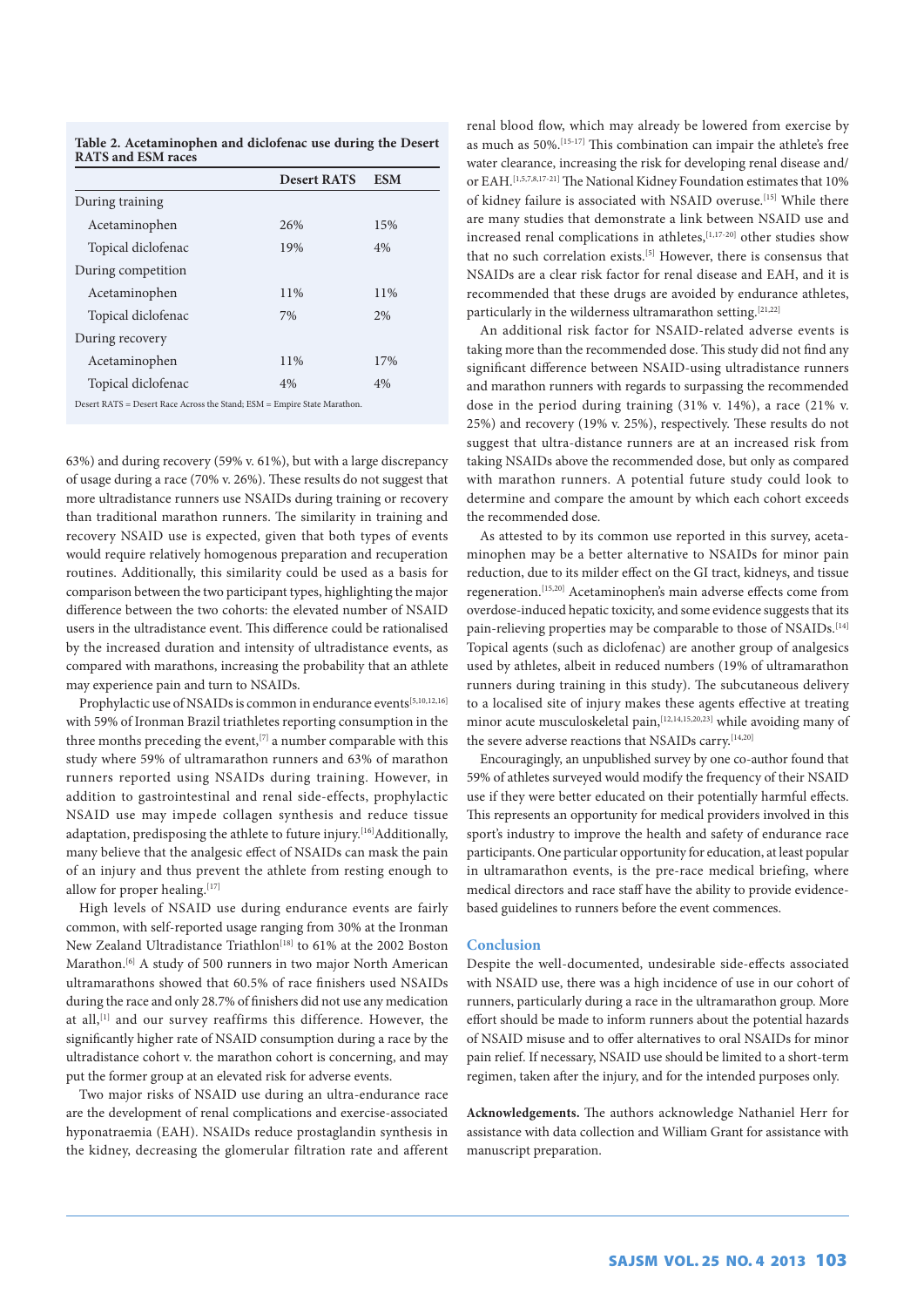| Table 2. Acetaminophen and diclofenac use during the Desert |  |  |
|-------------------------------------------------------------|--|--|
| <b>RATS and ESM races</b>                                   |  |  |

|                                                                           | <b>Desert RATS</b> | <b>ESM</b> |
|---------------------------------------------------------------------------|--------------------|------------|
| During training                                                           |                    |            |
| Acetaminophen                                                             | 26%                | 15%        |
| Topical diclofenac                                                        | 19%                | 4%         |
| During competition                                                        |                    |            |
| Acetaminophen                                                             | 11%                | 11%        |
| Topical diclofenac                                                        | 7%                 | 2%         |
| During recovery                                                           |                    |            |
| Acetaminophen                                                             | 11%                | 17%        |
| Topical diclofenac                                                        | 4%                 | 4%         |
| Desert $RATS = Desert Race Across the Stand: ESM = Empire State Marathon$ |                    |            |

Desert RATS = Desert Race Across the Stand; ESM = Empire State Marathon.

63%) and during recovery (59% v. 61%), but with a large discrepancy of usage during a race (70% v. 26%). These results do not suggest that more ultradistance runners use NSAIDs during training or recovery than traditional marathon runners. The similarity in training and recovery NSAID use is expected, given that both types of events would require relatively homogenous preparation and recuperation routines. Additionally, this similarity could be used as a basis for comparison between the two participant types, highlighting the major difference between the two cohorts: the elevated number of NSAID users in the ultradistance event. This difference could be rationalised by the increased duration and intensity of ultradistance events, as compared with marathons, increasing the probability that an athlete may experience pain and turn to NSAIDs.

Prophylactic use of NSAIDs is common in endurance events[5,10,12,16] with 59% of Ironman Brazil triathletes reporting consumption in the three months preceding the event,<sup>[7]</sup> a number comparable with this study where 59% of ultramarathon runners and 63% of marathon runners reported using NSAIDs during training. However, in addition to gastrointestinal and renal side-effects, prophylactic NSAID use may impede collagen synthesis and reduce tissue adaptation, predisposing the athlete to future injury.<sup>[16]</sup>Additionally, many believe that the analgesic effect of NSAIDs can mask the pain of an injury and thus prevent the athlete from resting enough to allow for proper healing.[17]

High levels of NSAID use during endurance events are fairly common, with self-reported usage ranging from 30% at the Ironman New Zealand Ultradistance Triathlon<sup>[18]</sup> to 61% at the 2002 Boston Marathon.<sup>[6]</sup> A study of 500 runners in two major North American ultramarathons showed that 60.5% of race finishers used NSAIDs during the race and only 28.7% of finishers did not use any medication at all,<sup>[1]</sup> and our survey reaffirms this difference. However, the significantly higher rate of NSAID consumption during a race by the ultradistance cohort v. the marathon cohort is concerning, and may put the former group at an elevated risk for adverse events.

Two major risks of NSAID use during an ultra-endurance race are the development of renal complications and exercise-associated hyponatraemia (EAH). NSAIDs reduce prostaglandin synthesis in the kidney, decreasing the glomerular filtration rate and afferent

renal blood flow, which may already be lowered from exercise by as much as 50%.[15-17] This combination can impair the athlete's free water clearance, increasing the risk for developing renal disease and/ or EAH.[1,5,7,8,17-21] The National Kidney Foundation estimates that 10% of kidney failure is associated with NSAID overuse.<sup>[15]</sup> While there are many studies that demonstrate a link between NSAID use and increased renal complications in athletes,<sup>[1,17-20]</sup> other studies show that no such correlation exists.[5] However, there is consensus that NSAIDs are a clear risk factor for renal disease and EAH, and it is recommended that these drugs are avoided by endurance athletes, particularly in the wilderness ultramarathon setting.<sup>[21,22]</sup>

An additional risk factor for NSAID-related adverse events is taking more than the recommended dose. This study did not find any significant difference between NSAID-using ultradistance runners and marathon runners with regards to surpassing the recommended dose in the period during training (31% v. 14%), a race (21% v. 25%) and recovery (19% v. 25%), respectively. These results do not suggest that ultra-distance runners are at an increased risk from taking NSAIDs above the recommended dose, but only as compared with marathon runners. A potential future study could look to determine and compare the amount by which each cohort exceeds the recommended dose.

As attested to by its common use reported in this survey, acetaminophen may be a better alternative to NSAIDs for minor pain reduction, due to its milder effect on the GI tract, kidneys, and tissue regeneration.[15,20] Acetaminophen's main adverse effects come from overdose-induced hepatic toxicity, and some evidence suggests that its pain-relieving properties may be comparable to those of NSAIDs.<sup>[14]</sup> Topical agents (such as diclofenac) are another group of analgesics used by athletes, albeit in reduced numbers (19% of ultramarathon runners during training in this study). The subcutaneous delivery to a localised site of injury makes these agents effective at treating minor acute musculoskeletal pain,<sup>[12,14,15,20,23]</sup> while avoiding many of the severe adverse reactions that NSAIDs carry.[14,20]

Encouragingly, an unpublished survey by one co-author found that 59% of athletes surveyed would modify the frequency of their NSAID use if they were better educated on their potentially harmful effects. This represents an opportunity for medical providers involved in this sport's industry to improve the health and safety of endurance race participants. One particular opportunity for education, at least popular in ultramarathon events, is the pre-race medical briefing, where medical directors and race staff have the ability to provide evidencebased guidelines to runners before the event commences.

# **Conclusion**

Despite the well-documented, undesirable side-effects associated with NSAID use, there was a high incidence of use in our cohort of runners, particularly during a race in the ultramarathon group. More effort should be made to inform runners about the potential hazards of NSAID misuse and to offer alternatives to oral NSAIDs for minor pain relief. If necessary, NSAID use should be limited to a short-term regimen, taken after the injury, and for the intended purposes only.

**Acknowledgements.** The authors acknowledge Nathaniel Herr for assistance with data collection and William Grant for assistance with manuscript preparation.